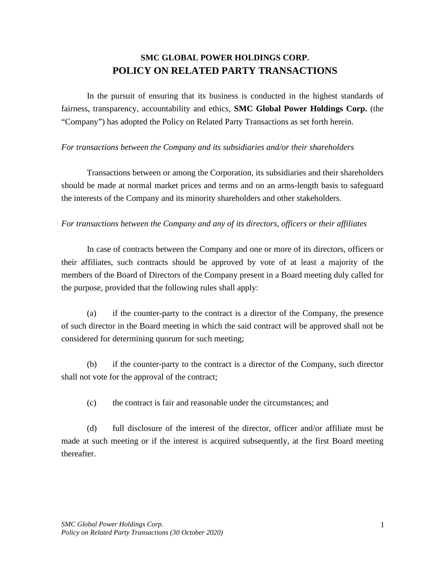## **SMC GLOBAL POWER HOLDINGS CORP. POLICY ON RELATED PARTY TRANSACTIONS**

In the pursuit of ensuring that its business is conducted in the highest standards of fairness, transparency, accountability and ethics, **SMC Global Power Holdings Corp.** (the "Company") has adopted the Policy on Related Party Transactions as set forth herein.

## *For transactions between the Company and its subsidiaries and/or their shareholders*

Transactions between or among the Corporation, its subsidiaries and their shareholders should be made at normal market prices and terms and on an arms-length basis to safeguard the interests of the Company and its minority shareholders and other stakeholders.

## *For transactions between the Company and any of its directors, officers or their affiliates*

In case of contracts between the Company and one or more of its directors, officers or their affiliates, such contracts should be approved by vote of at least a majority of the members of the Board of Directors of the Company present in a Board meeting duly called for the purpose, provided that the following rules shall apply:

(a) if the counter-party to the contract is a director of the Company, the presence of such director in the Board meeting in which the said contract will be approved shall not be considered for determining quorum for such meeting;

(b) if the counter-party to the contract is a director of the Company, such director shall not vote for the approval of the contract;

(c) the contract is fair and reasonable under the circumstances; and

(d) full disclosure of the interest of the director, officer and/or affiliate must be made at such meeting or if the interest is acquired subsequently, at the first Board meeting thereafter.